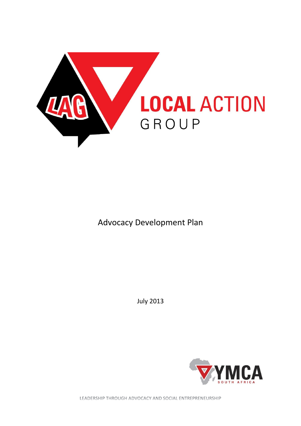

Advocacy Development Plan

July 2013



LEADERSHIP THROUGH ADVOCACY AND SOCIAL ENTREPRENEURSHIP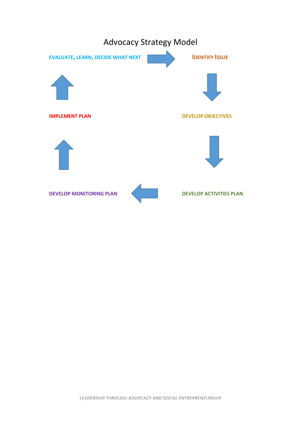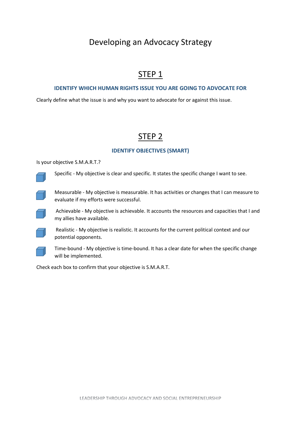# Developing an Advocacy Strategy

# STEP 1

#### **IDENTIFY WHICH HUMAN RIGHTS ISSUE YOU ARE GOING TO ADVOCATE FOR**

Clearly define what the issue is and why you want to advocate for or against this issue.

# STEP 2

#### **IDENTIFY OBJECTIVES (SMART)**

Is your objective S.M.A.R.T.?

Specific - My objective is clear and specific. It states the specific change I want to see.



Measurable - My objective is measurable. It has activities or changes that I can measure to evaluate if my efforts were successful.

Achievable - My objective is achievable. It accounts the resources and capacities that I and my allies have available.



Realistic - My objective is realistic. It accounts for the current political context and our potential opponents.



Time-bound - My objective is time-bound. It has a clear date for when the specific change will be implemented.

Check each box to confirm that your objective is S.M.A.R.T.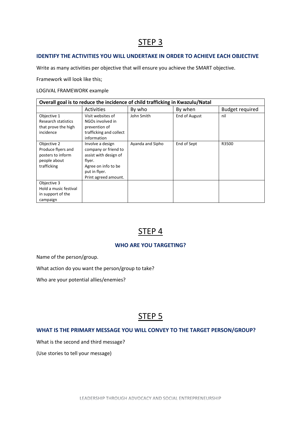### **IDENTIFY THE ACTIVITIES YOU WILL UNDERTAKE IN ORDER TO ACHIEVE EACH OBJECTIVE**

Write as many activities per objective that will ensure you achieve the SMART objective.

Framework will look like this;

#### LOGIVAL FRAMEWORK example

| Overall goal is to reduce the incidence of child trafficking in Kwazulu/Natal         |                                                                                                                                             |                  |               |                        |
|---------------------------------------------------------------------------------------|---------------------------------------------------------------------------------------------------------------------------------------------|------------------|---------------|------------------------|
|                                                                                       | <b>Activities</b>                                                                                                                           | By who           | By when       | <b>Budget required</b> |
| Objective 1<br>Research statistics<br>that prove the high<br>incidence                | Visit websites of<br>NGOs involved in<br>prevention of<br>trafficking and collect<br>information                                            | John Smith       | End of August | nil                    |
| Objective 2<br>Produce flyers and<br>posters to inform<br>people about<br>trafficking | Involve a design<br>company or friend to<br>assist with design of<br>flyer.<br>Agree on info to be<br>put in flyer.<br>Print agreed amount. | Ayanda and Sipho | End of Sept   | R3500                  |
| Objective 3<br>Hold a music festival<br>in support of the<br>campaign                 |                                                                                                                                             |                  |               |                        |

### STEP 4

### **WHO ARE YOU TARGETING?**

Name of the person/group.

What action do you want the person/group to take?

Who are your potential allies/enemies?

# STEP<sub>5</sub>

### **WHAT IS THE PRIMARY MESSAGE YOU WILL CONVEY TO THE TARGET PERSON/GROUP?**

What is the second and third message?

(Use stories to tell your message)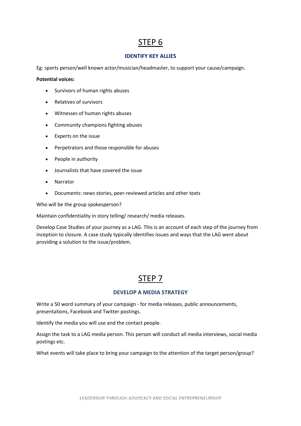### **IDENTIFY KEY ALLIES**

Eg: sports person/well known actor/musician/headmaster, to support your cause/campaign.

**Potential voices:**

- Survivors of human rights abuses
- Relatives of survivors
- Witnesses of human rights abuses
- Community champions fighting abuses
- Experts on the issue
- Perpetrators and those responsible for abuses
- People in authority
- Journalists that have covered the issue
- Narrator
- Documents: news stories, peer-reviewed articles and other texts

Who will be the group spokesperson?

Maintain confidentiality in story telling/ research/ media releases.

Develop Case Studies of your journey as a LAG. This is an account of each step of the journey from inception to closure. A case study typically identifies issues and ways that the LAG went about providing a solution to the issue/problem.

### STEP 7

#### **DEVELOP A MEDIA STRATEGY**

Write a 50 word summary of your campaign - for media releases, public announcements, presentations, Facebook and Twitter postings.

Identify the media you will use and the contact people.

Assign the task to a LAG media person. This person will conduct all media interviews, social media postings etc.

What events will take place to bring your campaign to the attention of the target person/group?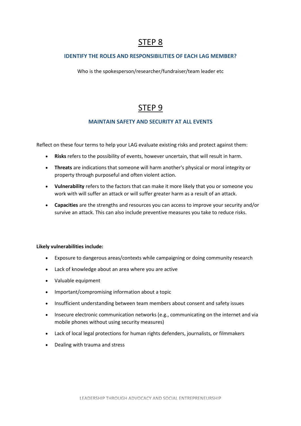### **IDENTIFY THE ROLES AND RESPONSIBILITIES OF EACH LAG MEMBER?**

Who is the spokesperson/researcher/fundraiser/team leader etc

# STEP 9

### **MAINTAIN SAFETY AND SECURITY AT ALL EVENTS**

Reflect on these four terms to help your LAG evaluate existing risks and protect against them:

- **Risks** refers to the possibility of events, however uncertain, that will result in harm.
- **Threats** are indications that someone will harm another's physical or moral integrity or property through purposeful and often violent action.
- **Vulnerability** refers to the factors that can make it more likely that you or someone you work with will suffer an attack or will suffer greater harm as a result of an attack.
- **Capacities** are the strengths and resources you can access to improve your security and/or survive an attack. This can also include preventive measures you take to reduce risks.

#### **Likely vulnerabilities include:**

- Exposure to dangerous areas/contexts while campaigning or doing community research
- Lack of knowledge about an area where you are active
- Valuable equipment
- Important/compromising information about a topic
- Insufficient understanding between team members about consent and safety issues
- Insecure electronic communication networks (e.g., communicating on the internet and via mobile phones without using security measures)
- Lack of local legal protections for human rights defenders, journalists, or filmmakers
- Dealing with trauma and stress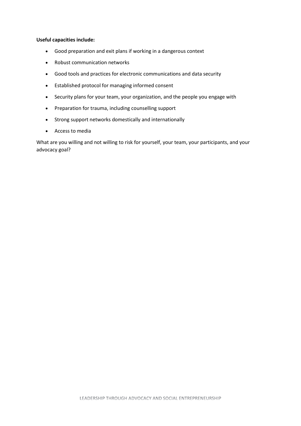#### **Useful capacities include:**

- Good preparation and exit plans if working in a dangerous context
- Robust communication networks
- Good tools and practices for electronic communications and data security
- Established protocol for managing informed consent
- Security plans for your team, your organization, and the people you engage with
- Preparation for trauma, including counselling support
- Strong support networks domestically and internationally
- Access to media

What are you willing and not willing to risk for yourself, your team, your participants, and your advocacy goal?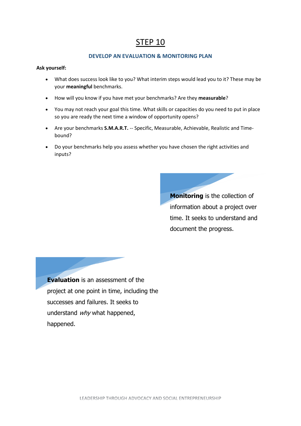### **DEVELOP AN EVALUATION & MONITORING PLAN**

#### **Ask yourself:**

- What does success look like to you? What interim steps would lead you to it? These may be your **meaningful** benchmarks.
- How will you know if you have met your benchmarks? Are they **measurable**?
- You may not reach your goal this time. What skills or capacities do you need to put in place so you are ready the next time a window of opportunity opens?
- Are your benchmarks **S.M.A.R.T.** -- Specific, Measurable, Achievable, Realistic and Timebound?
- Do your benchmarks help you assess whether you have chosen the right activities and inputs?

**Monitoring** is the collection of information about a project over time. It seeks to understand and document the progress.

**Evaluation** is an assessment of the project at one point in time, including the successes and failures. It seeks to understand why what happened, happened.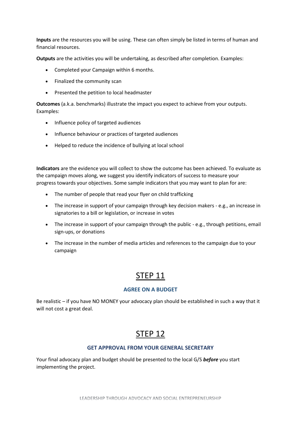**Inputs** are the resources you will be using. These can often simply be listed in terms of human and financial resources.

**Outputs** are the activities you will be undertaking, as described after completion. Examples:

- Completed your Campaign within 6 months.
- Finalized the community scan
- Presented the petition to local headmaster

**Outcomes** (a.k.a. benchmarks) illustrate the impact you expect to achieve from your outputs. Examples:

- Influence policy of targeted audiences
- Influence behaviour or practices of targeted audiences
- Helped to reduce the incidence of bullying at local school

**Indicators** are the evidence you will collect to show the outcome has been achieved. To evaluate as the campaign moves along, we suggest you identify indicators of success to measure your progress towards your objectives. Some sample indicators that you may want to plan for are:

- The number of people that read your flyer on child trafficking
- The increase in support of your campaign through key decision makers e.g., an increase in signatories to a bill or legislation, or increase in votes
- The increase in support of your campaign through the public e.g., through petitions, email sign-ups, or donations
- The increase in the number of media articles and references to the campaign due to your campaign

### STEP 11

#### **AGREE ON A BUDGET**

Be realistic – if you have NO MONEY your advocacy plan should be established in such a way that it will not cost a great deal.

### STEP 12

### **GET APPROVAL FROM YOUR GENERAL SECRETARY**

Your final advocacy plan and budget should be presented to the local G/S *before* you start implementing the project.